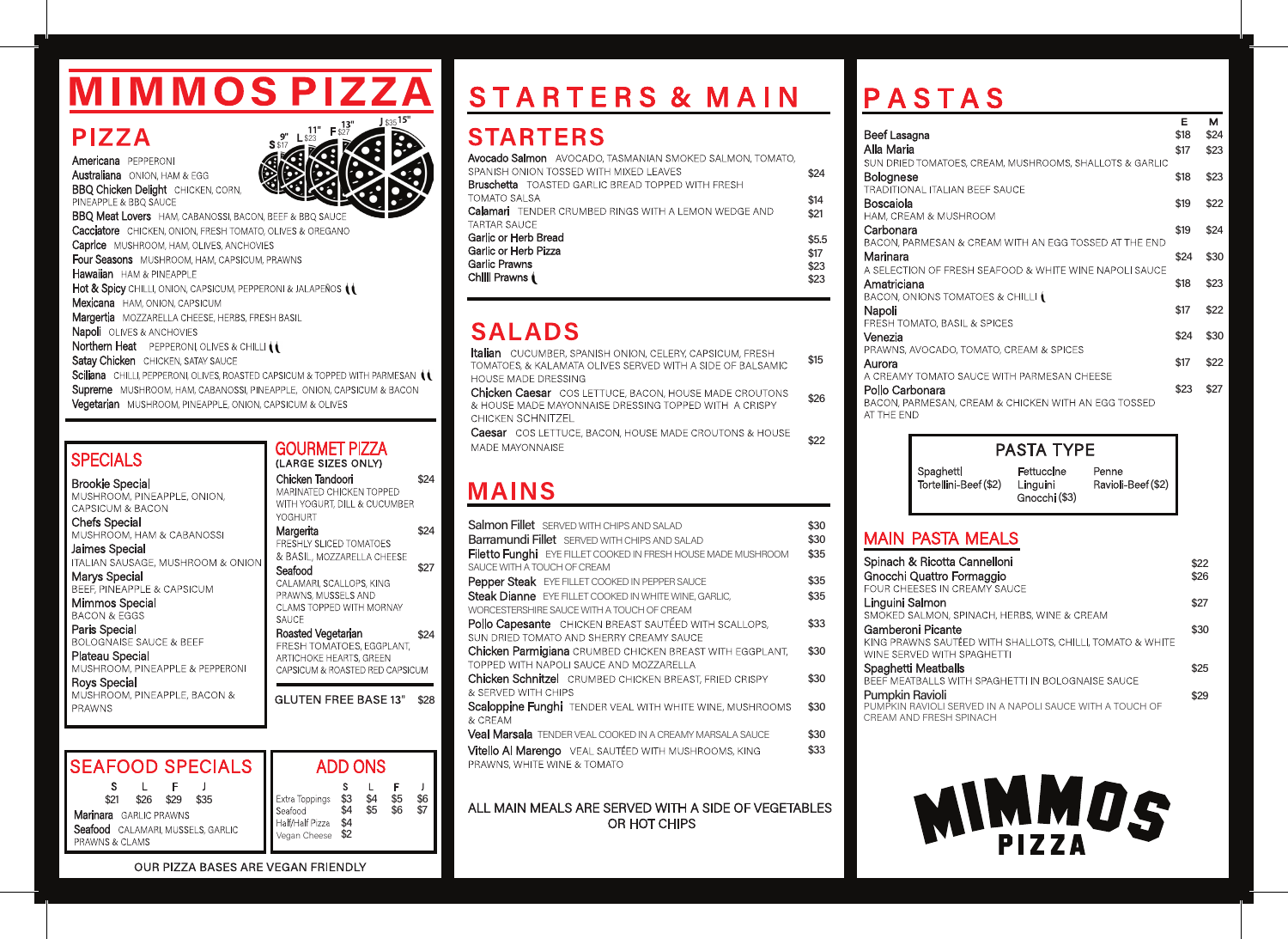# **MIMMOS PIZZA**

### **PIZZA**

Americana PEPPERONI **Australiana** ONION, HAM & EGG **BBQ Chicken Delight** CHICKEN, CORN, PINEAPPLE & BBQ SAUCE



**BBQ Meat Lovers** HAM, CABANOSSI, BACON, BEEF & BBQ SAUC **Cacciatore** CHICKEN, ONION, FRESH TOMATO, OLIVES & OREGANO Caprice MUSHROOM, HAM, OLIVES, ANCHOVIES Four Seasons MUSHROOM, HAM, CAPSICUM, PRAWNS Hawaiian HAM & PINEAPPLE Hot & Spicy CHILLI, ONION, CAPSICUM, PEPPERONI & JALAPEÑOS (1 Mexicana HAM, ONION, CAPSICUM Margertia MOZZARELLA CHEESE, HERBS, FRESH BASIL Napoli OLIVES & ANCHOVIES Northern Heat PEPPERONI, OLIVES & CHILLI (1 Satav Chicken CHICKEN, SATAY SAUCE Sciliana CHILLI, PEPPERONI, OLIVES, ROASTED CAPSICUM & TOPPED WITH PARMESAN (1 Supreme MUSHROOM, HAM, CABANOSSI, PINEAPPLE, ONION, CAPSICUM & BACON Vegetarian MUSHROOM, PINEAPPLE, ONION, CAPSICUM & OLIVES

#### **SPECIALS**

**Brookie Special** MUSHROOM, PINEAPPLE, ONION, CAPSICUM & BACON

**Chefs Special** MUSHROOM, HAM & CABANOSSI

Jaimes Special ITALIAN SAUSAGE, MUSHROOM & ONIC

Marvs Special BEEF. PINEAPPLE & CAPSICUM

Mimmos Special **BACON & EGGS** 

Paris Special **BOLOGNAISE SAUCE & BEEF** 

Plateau Special MUSHROOM, PINEAPPLE & PEPPERONI

**Rovs Special** MUSHROOM, PINEAPPLE, BACON & **PRAWNS** 

|    | <b>ADD ONS</b>                                                                                                                                                                                                                                 |              |
|----|------------------------------------------------------------------------------------------------------------------------------------------------------------------------------------------------------------------------------------------------|--------------|
|    | <b>GLUTEN FREE BASE 13"</b>                                                                                                                                                                                                                    | \$28         |
| ΣŃ | & BASIL, MOZZARELLA CHEESE<br>Seafood<br>CALAMARI, SCALLOPS, KING<br>PRAWNS, MUSSELS AND<br>CLAMS TOPPED WITH MORNAY<br>SAUCE<br>Roasted Vegetarian<br>FRESH TOMATOES, EGGPLANT,<br>ARTICHOKE HEARTS, GREEN<br>CAPSICUM & ROASTED RED CAPSICUM | \$27<br>\$24 |
|    | MARINATED CHICKEN TOPPED<br>WITH YOGURT, DILL & CUCUMBER<br>YOGHURT<br>Margerita<br><b>FRESHLY SLICED TOMATOES</b>                                                                                                                             | \$24         |
|    |                                                                                                                                                                                                                                                |              |

**GOURMET PIZZA** 

(LARGE SIZES ONLY)

Chicken Tandoori

| <b>SEAFOOD SPECIALS</b>                                                                                              | <b>ADD ON</b>                                                                                            |
|----------------------------------------------------------------------------------------------------------------------|----------------------------------------------------------------------------------------------------------|
| \$26<br>\$29<br>\$21<br>\$35<br><b>Marinara</b> GARLIC PRAWNS<br>Seafood CALAMARI, MUSSELS, GARLIC<br>PRAWNS & CLAMS | \$4<br>\$3<br>\$4<br>Extra Toppings<br>\$5<br>Seafood<br>.<br>\$4<br>Half/Half Pizza<br>Vegan Cheese \$2 |

## **STARTERS & MAIN**

## **STARTERS**

| <b>Avocado Salmon</b> AVOCADO, TASMANIAN SMOKED SALMON, TOMATO,<br>SPANISH ONION TOSSED WITH MIXED LEAVES<br><b>Bruschetta</b> TOASTED GARLIC BREAD TOPPED WITH FRESH | \$24                          |
|-----------------------------------------------------------------------------------------------------------------------------------------------------------------------|-------------------------------|
| <b>TOMATO SALSA</b><br><b>Calamari</b> TENDER CRUMBED RINGS WITH A LEMON WEDGE AND<br><b>TARTAR SAUCE</b>                                                             | \$14<br>\$21                  |
| Garlic or Herb Bread<br>Garlic or Herb Pizza<br>Garlic Prawns<br>Chilli Prawns (                                                                                      | \$5.5<br>\$17<br>\$23<br>\$23 |

## **SALADS**

Italian CUCUMBER, SPANISH ONION, CELERY, CAPSICUM, FRESH  $$15$ TOMATOES, & KALAMATA OLIVES SERVED WITH A SIDE OF BALSAMIC **HOUSE MADE DRESSING** 

Chicken Caesar COS LETTUCE, BACON, HOUSE MADE CROUTONS & HOUSE MADE MAYONNAISE DRESSING TOPPED WITH A CRISPY CHICKEN SCHNITZEL

**Caesar** COS LETTUCE, BACON, HOUSE MADE CROUTONS & HOUSE \$22 MADE MAYONNAISE

### **MAINS**

\$24

\$6  $$5$ <br>\$6

 $\overline{\$7}$ 

| <b>Salmon Fillet</b> SERVED WITH CHIPS AND SALAD                 | \$30 |
|------------------------------------------------------------------|------|
| <b>Barramundi Fillet</b> SERVED WITH CHIPS AND SALAD             | \$30 |
| Filetto Funghi EYE FILLET COOKED IN FRESH HOUSE MADE MUSHROOM    | \$35 |
| SAUCE WITH A TOUCH OF CREAM                                      |      |
| Pepper Steak EYE FILLET COOKED IN PEPPER SAUCE                   | \$35 |
| Steak Dianne EYE FILLET COOKED IN WHITE WINE, GARLIC,            | \$35 |
| WORCESTERSHIRE SAUCE WITH A TOUCH OF CREAM                       |      |
| Pollo Capesante CHICKEN BREAST SAUTÉED WITH SCALLOPS,            | \$33 |
| SUN DRIED TOMATO AND SHERRY CREAMY SAUCE                         |      |
| <b>Chicken Parmigiana</b> CRUMBED CHICKEN BREAST WITH EGGPLANT,  | \$30 |
| TOPPED WITH NAPOLI SAUCE AND MOZZARELLA                          |      |
| <b>Chicken Schnitzel</b> CRUMBED CHICKEN BREAST, FRIED CRISPY    | \$30 |
| & SERVED WITH CHIPS                                              |      |
| Scaloppine Funghi TENDER VEAL WITH WHITE WINE, MUSHROOMS         | \$30 |
| & CRFAM                                                          |      |
| <b>Veal Marsala</b> TENDER VEAL COOKED IN A CREAMY MARSALA SAUCE | \$30 |
| <b>Vitello Al Marengo</b> VEAL SAUTÉED WITH MUSHROOMS, KING      | \$33 |
| PRAWNS, WHITE WINE & TOMATO                                      |      |
|                                                                  |      |
|                                                                  |      |

#### ALL MAIN MEALS ARE SERVED WITH A SIDE OF VEGETABLES OR HOT CHIPS

## **PASTAS**

| Beef Lasagna<br>Alla Maria<br>SUN DRIED TOMATOES, CREAM, MUSHROOMS, SHALLOTS & GARLIC                                              | Е<br>\$18<br>\$17 | м<br>\$24<br>\$23 |
|------------------------------------------------------------------------------------------------------------------------------------|-------------------|-------------------|
| Bolognese<br><b>TRADITIONAL ITALIAN BEEF SAUCE</b>                                                                                 | \$18              | \$23              |
| Boscaiola<br>HAM, CREAM & MUSHROOM                                                                                                 | \$19              | \$22              |
| Carbonara<br>BACON, PARMESAN & CREAM WITH AN EGG TOSSED AT THE END                                                                 | \$19              | \$24              |
| Marinara<br>A SELECTION OF FRESH SEAFOOD & WHITE WINE NAPOLI SAUCE                                                                 | \$24              | \$30              |
| Amatriciana                                                                                                                        | \$18              | \$23              |
| BACON, ONIONS TOMATOES & CHILLI (<br>Napoli                                                                                        | \$17              | \$22              |
| FRESH TOMATO, BASIL & SPICES<br>Venezia                                                                                            | \$24              | \$30              |
| PRAWNS, AVOCADO, TOMATO, CREAM & SPICES<br>Aurora                                                                                  | \$17              | \$22              |
| A CREAMY TOMATO SAUCE WITH PARMESAN CHEESE<br>Pollo Carbonara<br>BACON, PARMESAN, CREAM & CHICKEN WITH AN EGG TOSSED<br>AT THE FND | \$23              | \$27              |



#### **MAIN PASTA MEALS**

\$26

| Spinach & Ricotta Cannelloni<br>Gnocchi Quattro Formaggio | \$22<br>\$26 |
|-----------------------------------------------------------|--------------|
| FOUR CHEESES IN CREAMY SAUCE                              |              |
| Linguini Salmon                                           | \$27         |
| SMOKED SALMON, SPINACH, HERBS, WINE & CREAM               |              |
| Gamberoni Picante                                         | \$30         |
| KING PRAWNS SAUTÉED WITH SHALLOTS, CHILLI, TOMATO & WHITE |              |
| WINE SERVED WITH SPAGHETTI                                |              |
| Spaghetti Meatballs                                       | \$25         |
| BEEF MEATBALLS WITH SPAGHETTI IN BOLOGNAISE SAUCE         |              |
| Pumpkin Ravioli                                           | \$29         |
| PUMPKIN RAVIOLI SERVED IN A NAPOLI SAUCE WITH A TOUCH OF  |              |
| CREAM AND ERESH SPINACH                                   |              |



OUR PIZZA BASES ARE VEGAN FRIENDLY